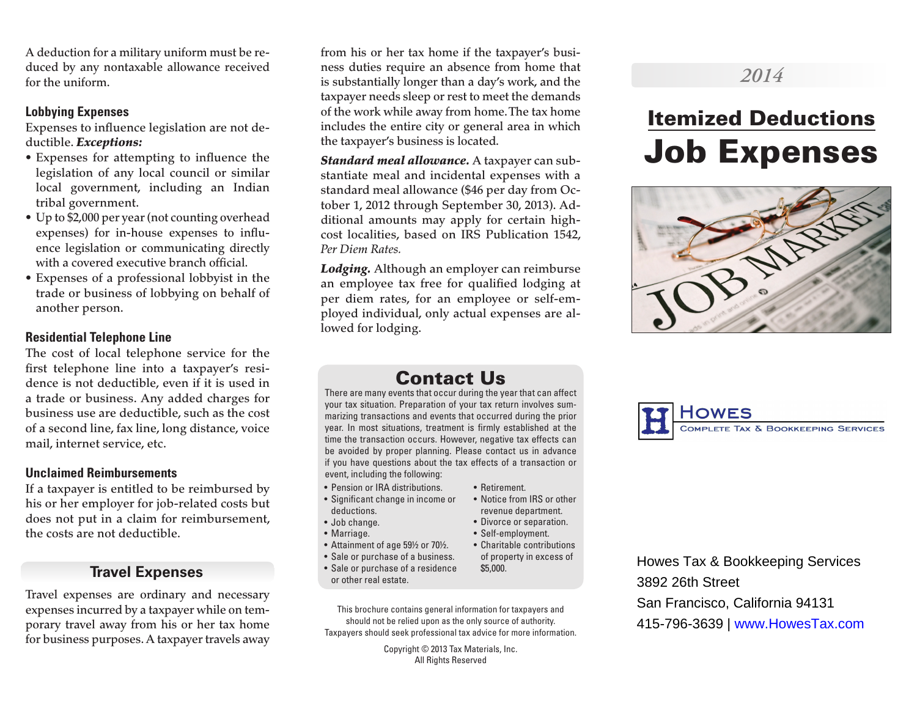A deduction for a military uniform must be reduced by any nontaxable allowance received for the uniform.

### **Lobbying Expenses**

Expenses to influence legislation are not deductible. *Exceptions:*

- Expenses for attempting to influence the legislation of any local council or similar local government, including an Indian tribal government.
- Up to \$2,000 per year (not counting overhead expenses) for in-house expenses to influence legislation or communicating directly with a covered executive branch official.
- Expenses of a professional lobbyist in the trade or business of lobbying on behalf of another person.

#### **Residential Telephone Line**

The cost of local telephone service for the first telephone line into a taxpayer's residence is not deductible, even if it is used in a trade or business. Any added charges for business use are deductible, such as the cost of a second line, fax line, long distance, voice mail, internet service, etc.

#### **Unclaimed Reimbursements**

If a taxpayer is entitled to be reimbursed by his or her employer for job-related costs but does not put in a claim for reimbursement, the costs are not deductible.

## **Travel Expenses**

Travel expenses are ordinary and necessary expenses incurred by a taxpayer while on temporary travel away from his or her tax home for business purposes. A taxpayer travels away

from his or her tax home if the taxpayer's business duties require an absence from home that is substantially longer than a day's work, and the taxpayer needs sleep or rest to meet the demands of the work while away from home. The tax home includes the entire city or general area in which the taxpayer's business is located.

*Standard meal allowance.* A taxpayer can substantiate meal and incidental expenses with a standard meal allowance (\$46 per day from October 1, 2012 through September 30, 2013). Additional amounts may apply for certain highcost localities, based on IRS Publication 1542, *Per Diem Rates.*

*Lodging.* Although an employer can reimburse an employee tax free for qualified lodging at per diem rates, for an employee or self-employed individual, only actual expenses are allowed for lodging.

## *2014*

# Itemized Deductions Job Expenses



OMPLETE TAX & BOOKKEEPING SERVICES

## Contact Us

There are many events that occur during the year that can affect your tax situation. Preparation of your tax return involves summarizing transactions and events that occurred during the prior year. In most situations, treatment is firmly established at the time the transaction occurs. However, negative tax effects can be avoided by proper planning. Please contact us in advance if you have questions about the tax effects of a transaction or event, including the following:

- Pension or IRA distributions.
- Significant change in income or deductions.
- Job change.
- Marriage.
- Attainment of age 59½ or 70½.
- Sale or purchase of a business.
- Sale or purchase of a residence or other real estate.
- This brochure contains general information for taxpayers and should not be relied upon as the only source of authority. Taxpayers should seek professional tax advice for more information.

Copyright © 2013 Tax Materials, Inc. All Rights Reserved

- Retirement.
- Notice from IRS or other revenue department.
- Divorce or separation.
- Self-employment.
- of property in excess of

Howes Tax & Bookkeeping Services 3892 26th Street San Francisco, California 94131 415-796-3639 | www.HowesTax.com

• Charitable contributions \$5,000.